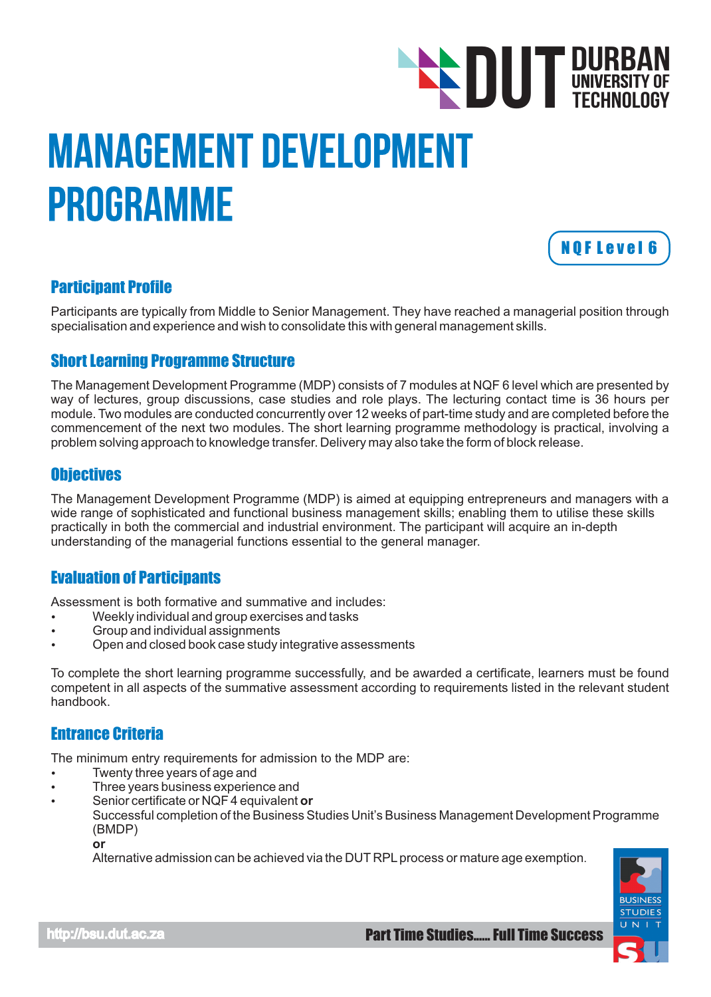# Management Development Programme **DUT DURBAN**<br>TECHNOLOGY TECHNOLOGY



# Participant Profile

Participants are typically from Middle to Senior Management. They have reached a managerial position through specialisation and experience and wish to consolidate this with general management skills.

# Short Learning Programme Structure

The Management Development Programme (MDP) consists of 7 modules at NQF 6 level which are presented by way of lectures, group discussions, case studies and role plays. The lecturing contact time is 36 hours per module. Two modules are conducted concurrently over 12 weeks of part-time study and are completed before the commencement of the next two modules. The short learning programme methodology is practical, involving a problem solving approach to knowledge transfer. Delivery may also take the form of block release.

# **Objectives**

The Management Development Programme (MDP) is aimed at equipping entrepreneurs and managers with a wide range of sophisticated and functional business management skills; enabling them to utilise these skills practically in both the commercial and industrial environment. The participant will acquire an in-depth understanding of the managerial functions essential to the general manager.

# Evaluation of Participants

Assessment is both formative and summative and includes:

- Weekly individual and group exercises and tasks
- Group and individual assignments
- Open and closed book case study integrative assessments

To complete the short learning programme successfully, and be awarded a certificate, learners must be found competent in all aspects of the summative assessment according to requirements listed in the relevant student handbook.

# Entrance Criteria

The minimum entry requirements for admission to the MDP are:

- Twenty three years of age and
- Three years business experience and
- Senior certificate or NQF 4 equivalent or

Successful completion of the Business Studies Unit's Business Management Development Programme (BMDP)

**or**

Alternative admission can be achieved via the DUT RPL process or mature age exemption.